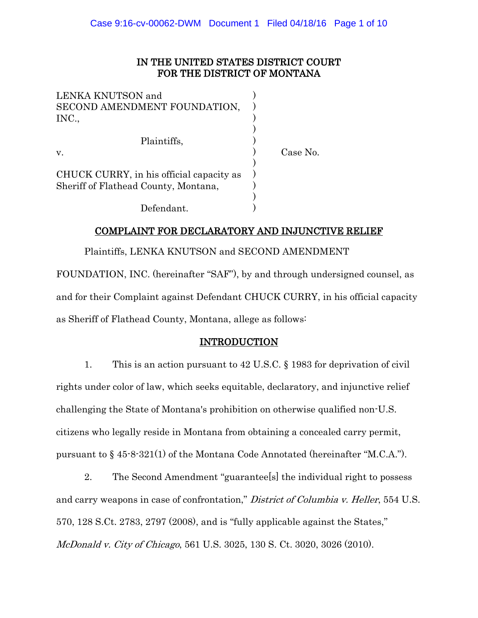# IN THE UNITED STATES DISTRICT COURT FOR THE DISTRICT OF MONTANA

| LENKA KNUTSON and<br>SECOND AMENDMENT FOUNDATION,<br>INC., |          |
|------------------------------------------------------------|----------|
| Plaintiffs,                                                |          |
| V.                                                         | Case No. |
|                                                            |          |
| CHUCK CURRY, in his official capacity as                   |          |
| Sheriff of Flathead County, Montana,                       |          |
|                                                            |          |
| Defendant.                                                 |          |

# COMPLAINT FOR DECLARATORY AND INJUNCTIVE RELIEF

Plaintiffs, LENKA KNUTSON and SECOND AMENDMENT

FOUNDATION, INC. (hereinafter "SAF"), by and through undersigned counsel, as and for their Complaint against Defendant CHUCK CURRY, in his official capacity as Sheriff of Flathead County, Montana, allege as follows:

## INTRODUCTION

1. This is an action pursuant to 42 U.S.C. § 1983 for deprivation of civil rights under color of law, which seeks equitable, declaratory, and injunctive relief challenging the State of Montana's prohibition on otherwise qualified non-U.S. citizens who legally reside in Montana from obtaining a concealed carry permit, pursuant to § 45-8-321(1) of the Montana Code Annotated (hereinafter "M.C.A.").

2. The Second Amendment "guarantee[s] the individual right to possess and carry weapons in case of confrontation," District of Columbia v. Heller, 554 U.S. 570, 128 S.Ct. 2783, 2797 (2008), and is "fully applicable against the States," McDonald v. City of Chicago, 561 U.S. 3025, 130 S. Ct. 3020, 3026 (2010).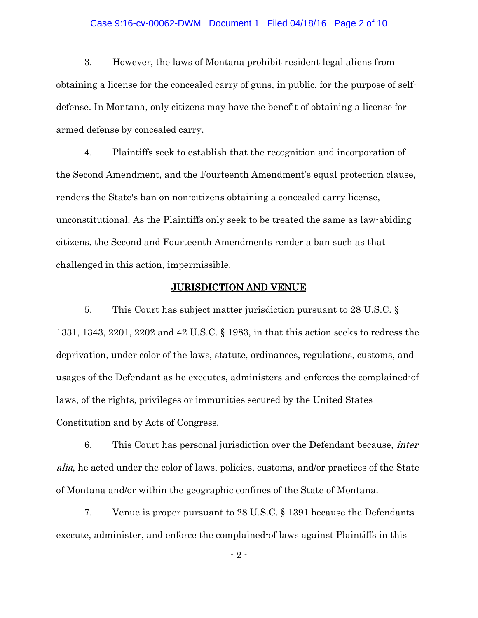#### Case 9:16-cv-00062-DWM Document 1 Filed 04/18/16 Page 2 of 10

3. However, the laws of Montana prohibit resident legal aliens from obtaining a license for the concealed carry of guns, in public, for the purpose of selfdefense. In Montana, only citizens may have the benefit of obtaining a license for armed defense by concealed carry.

4. Plaintiffs seek to establish that the recognition and incorporation of the Second Amendment, and the Fourteenth Amendment's equal protection clause, renders the State's ban on non-citizens obtaining a concealed carry license, unconstitutional. As the Plaintiffs only seek to be treated the same as law-abiding citizens, the Second and Fourteenth Amendments render a ban such as that challenged in this action, impermissible.

#### JURISDICTION AND VENUE

5. This Court has subject matter jurisdiction pursuant to 28 U.S.C. § 1331, 1343, 2201, 2202 and 42 U.S.C. § 1983, in that this action seeks to redress the deprivation, under color of the laws, statute, ordinances, regulations, customs, and usages of the Defendant as he executes, administers and enforces the complained-of laws, of the rights, privileges or immunities secured by the United States Constitution and by Acts of Congress.

6. This Court has personal jurisdiction over the Defendant because, *inter* alia, he acted under the color of laws, policies, customs, and/or practices of the State of Montana and/or within the geographic confines of the State of Montana.

7. Venue is proper pursuant to 28 U.S.C. § 1391 because the Defendants execute, administer, and enforce the complained-of laws against Plaintiffs in this

- 2 -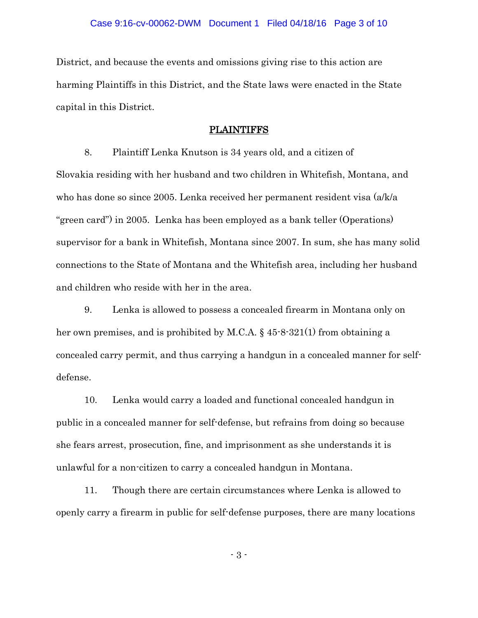District, and because the events and omissions giving rise to this action are harming Plaintiffs in this District, and the State laws were enacted in the State capital in this District.

#### PLAINTIFFS

8. Plaintiff Lenka Knutson is 34 years old, and a citizen of Slovakia residing with her husband and two children in Whitefish, Montana, and who has done so since 2005. Lenka received her permanent resident visa (a/k/a "green card") in 2005. Lenka has been employed as a bank teller (Operations) supervisor for a bank in Whitefish, Montana since 2007. In sum, she has many solid connections to the State of Montana and the Whitefish area, including her husband and children who reside with her in the area.

9. Lenka is allowed to possess a concealed firearm in Montana only on her own premises, and is prohibited by M.C.A. § 45-8-321(1) from obtaining a concealed carry permit, and thus carrying a handgun in a concealed manner for selfdefense.

10. Lenka would carry a loaded and functional concealed handgun in public in a concealed manner for self-defense, but refrains from doing so because she fears arrest, prosecution, fine, and imprisonment as she understands it is unlawful for a non-citizen to carry a concealed handgun in Montana.

11. Though there are certain circumstances where Lenka is allowed to openly carry a firearm in public for self-defense purposes, there are many locations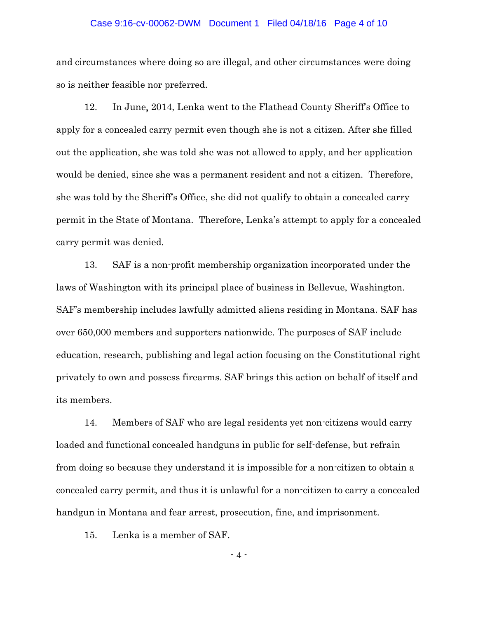#### Case 9:16-cv-00062-DWM Document 1 Filed 04/18/16 Page 4 of 10

and circumstances where doing so are illegal, and other circumstances were doing so is neither feasible nor preferred.

12. In June, 2014, Lenka went to the Flathead County Sheriff's Office to apply for a concealed carry permit even though she is not a citizen. After she filled out the application, she was told she was not allowed to apply, and her application would be denied, since she was a permanent resident and not a citizen. Therefore, she was told by the Sheriff's Office, she did not qualify to obtain a concealed carry permit in the State of Montana. Therefore, Lenka's attempt to apply for a concealed carry permit was denied.

13. SAF is a non-profit membership organization incorporated under the laws of Washington with its principal place of business in Bellevue, Washington. SAF's membership includes lawfully admitted aliens residing in Montana. SAF has over 650,000 members and supporters nationwide. The purposes of SAF include education, research, publishing and legal action focusing on the Constitutional right privately to own and possess firearms. SAF brings this action on behalf of itself and its members.

14. Members of SAF who are legal residents yet non-citizens would carry loaded and functional concealed handguns in public for self-defense, but refrain from doing so because they understand it is impossible for a non-citizen to obtain a concealed carry permit, and thus it is unlawful for a non-citizen to carry a concealed handgun in Montana and fear arrest, prosecution, fine, and imprisonment.

15. Lenka is a member of SAF.

 $-4 -$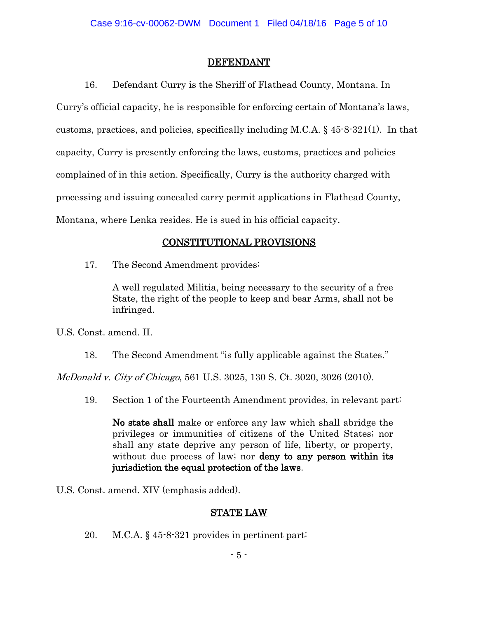### DEFENDANT

16. Defendant Curry is the Sheriff of Flathead County, Montana. In Curry's official capacity, he is responsible for enforcing certain of Montana's laws, customs, practices, and policies, specifically including M.C.A. § 45-8-321(1). In that capacity, Curry is presently enforcing the laws, customs, practices and policies complained of in this action. Specifically, Curry is the authority charged with processing and issuing concealed carry permit applications in Flathead County, Montana, where Lenka resides. He is sued in his official capacity.

# CONSTITUTIONAL PROVISIONS

17. The Second Amendment provides:

A well regulated Militia, being necessary to the security of a free State, the right of the people to keep and bear Arms, shall not be infringed.

U.S. Const. amend. II.

18. The Second Amendment "is fully applicable against the States."

McDonald v. City of Chicago, 561 U.S. 3025, 130 S. Ct. 3020, 3026 (2010).

19. Section 1 of the Fourteenth Amendment provides, in relevant part:

No state shall make or enforce any law which shall abridge the privileges or immunities of citizens of the United States; nor shall any state deprive any person of life, liberty, or property, without due process of law; nor **deny to any person within its** jurisdiction the equal protection of the laws.

U.S. Const. amend. XIV (emphasis added).

# STATE LAW

20. M.C.A. § 45-8-321 provides in pertinent part: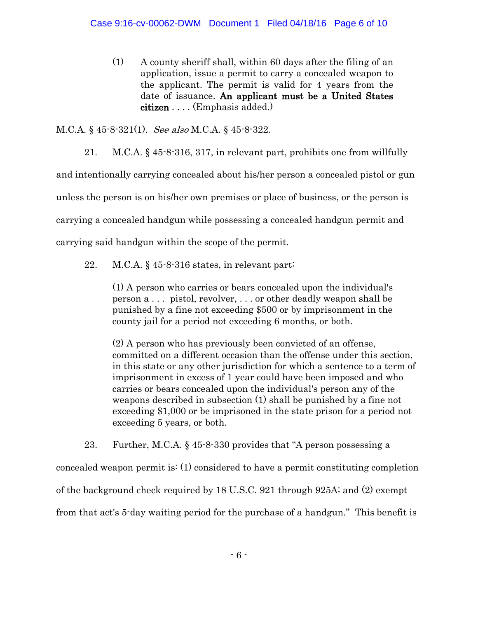(1) A county sheriff shall, within 60 days after the filing of an application, issue a permit to carry a concealed weapon to the applicant. The permit is valid for 4 years from the date of issuance. An applicant must be a United States citizen . . . . (Emphasis added.)

M.C.A. § 45-8-321(1). See also M.C.A. § 45-8-322.

21. M.C.A. § 45-8-316, 317, in relevant part, prohibits one from willfully and intentionally carrying concealed about his/her person a concealed pistol or gun unless the person is on his/her own premises or place of business, or the person is carrying a concealed handgun while possessing a concealed handgun permit and carrying said handgun within the scope of the permit.

22. M.C.A. § 45-8-316 states, in relevant part:

(1) A person who carries or bears concealed upon the individual's person a . . . pistol, revolver, . . . or other deadly weapon shall be punished by a fine not exceeding \$500 or by imprisonment in the county jail for a period not exceeding 6 months, or both.

(2) A person who has previously been convicted of an offense, committed on a different occasion than the offense under this section, in this state or any other jurisdiction for which a sentence to a term of imprisonment in excess of 1 year could have been imposed and who carries or bears concealed upon the individual's person any of the weapons described in subsection (1) shall be punished by a fine not exceeding \$1,000 or be imprisoned in the state prison for a period not exceeding 5 years, or both.

23. Further, M.C.A. § 45-8-330 provides that "A person possessing a concealed weapon permit is: (1) considered to have a permit constituting completion of the background check required by 18 U.S.C. 921 through 925A; and (2) exempt from that act's 5-day waiting period for the purchase of a handgun." This benefit is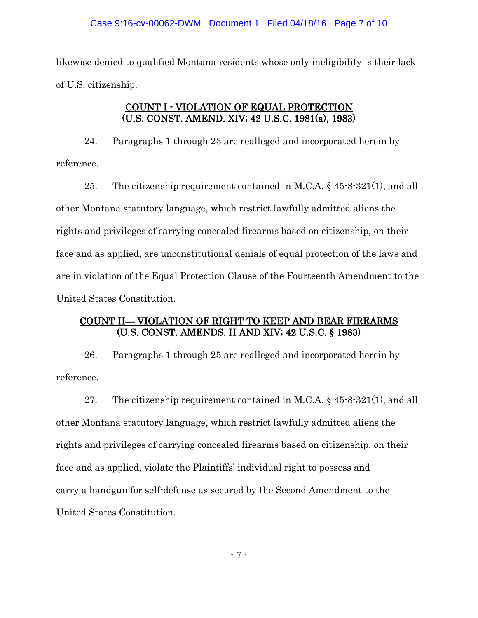likewise denied to qualified Montana residents whose only ineligibility is their lack of U.S. citizenship.

### COUNT I - VIOLATION OF EQUAL PROTECTION (U.S. CONST. AMEND. XIV; 42 U.S.C. 1981(a), 1983)

24. Paragraphs 1 through 23 are realleged and incorporated herein by reference.

25. The citizenship requirement contained in M.C.A.  $\S$  45-8-321(1), and all other Montana statutory language, which restrict lawfully admitted aliens the rights and privileges of carrying concealed firearms based on citizenship, on their face and as applied, are unconstitutional denials of equal protection of the laws and are in violation of the Equal Protection Clause of the Fourteenth Amendment to the United States Constitution.

## COUNT II— VIOLATION OF RIGHT TO KEEP AND BEAR FIREARMS (U.S. CONST. AMENDS. II AND XIV; 42 U.S.C. § 1983)

26. Paragraphs 1 through 25 are realleged and incorporated herein by reference.

27. The citizenship requirement contained in M.C.A.  $\S$  45-8-321(1), and all other Montana statutory language, which restrict lawfully admitted aliens the rights and privileges of carrying concealed firearms based on citizenship, on their face and as applied, violate the Plaintiffs' individual right to possess and carry a handgun for self-defense as secured by the Second Amendment to the United States Constitution.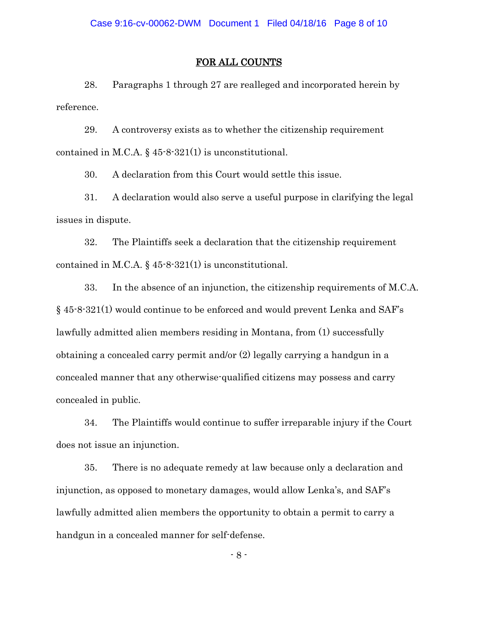### FOR ALL COUNTS

28. Paragraphs 1 through 27 are realleged and incorporated herein by reference.

29. A controversy exists as to whether the citizenship requirement contained in M.C.A. § 45-8-321(1) is unconstitutional.

30. A declaration from this Court would settle this issue.

31. A declaration would also serve a useful purpose in clarifying the legal issues in dispute.

32. The Plaintiffs seek a declaration that the citizenship requirement contained in M.C.A. § 45-8-321(1) is unconstitutional.

33. In the absence of an injunction, the citizenship requirements of M.C.A. § 45-8-321(1) would continue to be enforced and would prevent Lenka and SAF's lawfully admitted alien members residing in Montana, from (1) successfully obtaining a concealed carry permit and/or (2) legally carrying a handgun in a concealed manner that any otherwise-qualified citizens may possess and carry concealed in public.

34. The Plaintiffs would continue to suffer irreparable injury if the Court does not issue an injunction.

35. There is no adequate remedy at law because only a declaration and injunction, as opposed to monetary damages, would allow Lenka's, and SAF's lawfully admitted alien members the opportunity to obtain a permit to carry a handgun in a concealed manner for self-defense.

 $-8 -$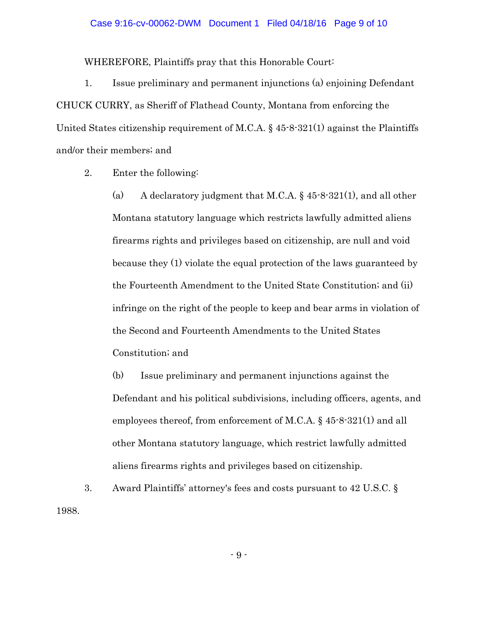#### Case 9:16-cv-00062-DWM Document 1 Filed 04/18/16 Page 9 of 10

WHEREFORE, Plaintiffs pray that this Honorable Court:

1. Issue preliminary and permanent injunctions (a) enjoining Defendant CHUCK CURRY, as Sheriff of Flathead County, Montana from enforcing the United States citizenship requirement of M.C.A. § 45-8-321(1) against the Plaintiffs and/or their members; and

2. Enter the following:

(a) A declaratory judgment that M.C.A. § 45-8-321(1), and all other Montana statutory language which restricts lawfully admitted aliens firearms rights and privileges based on citizenship, are null and void because they (1) violate the equal protection of the laws guaranteed by the Fourteenth Amendment to the United State Constitution; and (ii) infringe on the right of the people to keep and bear arms in violation of the Second and Fourteenth Amendments to the United States Constitution; and

(b) Issue preliminary and permanent injunctions against the Defendant and his political subdivisions, including officers, agents, and employees thereof, from enforcement of M.C.A. § 45-8-321(1) and all other Montana statutory language, which restrict lawfully admitted aliens firearms rights and privileges based on citizenship.

3. Award Plaintiffs' attorney's fees and costs pursuant to 42 U.S.C. § 1988.